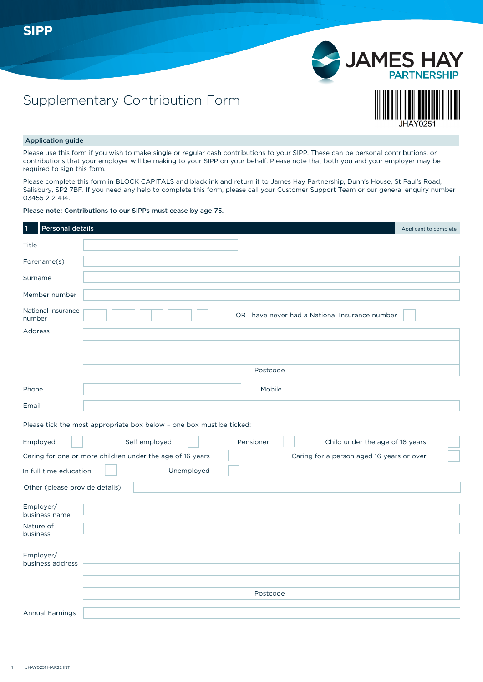

### Application guide

Please use this form if you wish to make single or regular cash contributions to your SIPP. These can be personal contributions, or contributions that your employer will be making to your SIPP on your behalf. Please note that both you and your employer may be required to sign this form.

Please complete this form in BLOCK CAPITALS and black ink and return it to James Hay Partnership, Dunn's House, St Paul's Road, Salisbury, SP2 7BF. If you need any help to complete this form, please call your Customer Support Team or our general enquiry number 03455 212 414.

#### Please note: Contributions to our SIPPs must cease by age 75.

Supplementary Contribution Form

| <b>Personal details</b>        |                                                                                                        | Applicant to complete |
|--------------------------------|--------------------------------------------------------------------------------------------------------|-----------------------|
| Title                          |                                                                                                        |                       |
| Forename(s)                    |                                                                                                        |                       |
| Surname                        |                                                                                                        |                       |
| Member number                  |                                                                                                        |                       |
| National Insurance<br>number   | OR I have never had a National Insurance number                                                        |                       |
| Address                        |                                                                                                        |                       |
|                                |                                                                                                        |                       |
|                                |                                                                                                        |                       |
|                                | Postcode                                                                                               |                       |
| Phone                          | Mobile                                                                                                 |                       |
| Email                          |                                                                                                        |                       |
|                                | Please tick the most appropriate box below - one box must be ticked:                                   |                       |
| Employed                       | Self employed<br>Pensioner<br>Child under the age of 16 years                                          |                       |
|                                | Caring for one or more children under the age of 16 years<br>Caring for a person aged 16 years or over |                       |
| In full time education         | Unemployed                                                                                             |                       |
| Other (please provide details) |                                                                                                        |                       |
| Employer/<br>business name     |                                                                                                        |                       |
| Nature of<br>business          |                                                                                                        |                       |
| Employer/<br>business address  |                                                                                                        |                       |
|                                | Postcode                                                                                               |                       |
|                                |                                                                                                        |                       |
| <b>Annual Earnings</b>         |                                                                                                        |                       |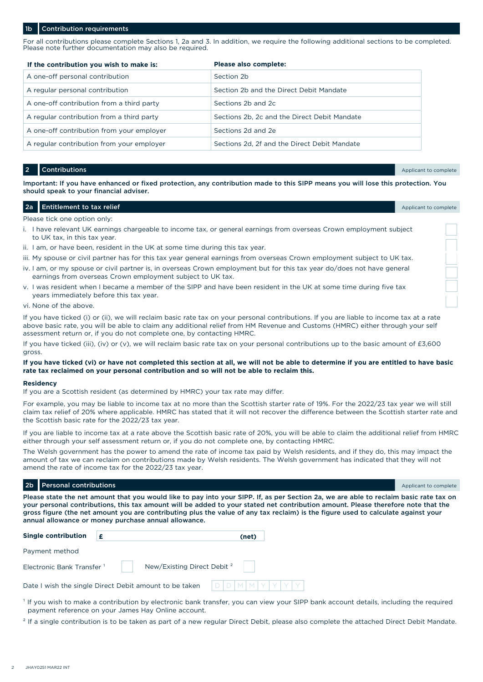#### **Contribution requirements**

For all contributions please complete Sections 1, 2a and 3. In addition, we require the following additional sections to be completed. Please note further documentation may also be required.

| If the contribution you wish to make is:  | Please also complete:                        |
|-------------------------------------------|----------------------------------------------|
| A one-off personal contribution           | Section 2b                                   |
| A regular personal contribution           | Section 2b and the Direct Debit Mandate      |
| A one-off contribution from a third party | Sections 2b and 2c                           |
| A regular contribution from a third party | Sections 2b, 2c and the Direct Debit Mandate |
| A one-off contribution from your employer | Sections 2d and 2e                           |
| A regular contribution from your employer | Sections 2d, 2f and the Direct Debit Mandate |

**2** Contributions **Applicant to complete** the contribution of the contributions of the complete the complete that the complete

Important: If you have enhanced or fixed protection, any contribution made to this SIPP means you will lose this protection. You should speak to your financial adviser.

#### **2a** Entitlement to tax relief **Applicant to tax** relief Applicant to complete

Please tick one option only:

- i. I have relevant UK earnings chargeable to income tax, or general earnings from overseas Crown employment subject to UK tax, in this tax year.
- ii. I am, or have been, resident in the UK at some time during this tax year.
- iii. My spouse or civil partner has for this tax year general earnings from overseas Crown employment subject to UK tax.
- iv. I am, or my spouse or civil partner is, in overseas Crown employment but for this tax year do/does not have general earnings from overseas Crown employment subject to UK tax.
- v. I was resident when I became a member of the SIPP and have been resident in the UK at some time during five tax years immediately before this tax year.
- vi. None of the above.

If you have ticked (i) or (ii), we will reclaim basic rate tax on your personal contributions. If you are liable to income tax at a rate above basic rate, you will be able to claim any additional relief from HM Revenue and Customs (HMRC) either through your self assessment return or, if you do not complete one, by contacting HMRC.

If you have ticked (iii), (iv) or (v), we will reclaim basic rate tax on your personal contributions up to the basic amount of £3,600 gross.

#### **If you have ticked (vi) or have not completed this section at all, we will not be able to determine if you are entitled to have basic rate tax reclaimed on your personal contribution and so will not be able to reclaim this.**

#### **Residency**

If you are a Scottish resident (as determined by HMRC) your tax rate may differ.

For example, you may be liable to income tax at no more than the Scottish starter rate of 19%. For the 2022/23 tax year we will still claim tax relief of 20% where applicable. HMRC has stated that it will not recover the difference between the Scottish starter rate and the Scottish basic rate for the 2022/23 tax year.

If you are liable to income tax at a rate above the Scottish basic rate of 20%, you will be able to claim the additional relief from HMRC either through your self assessment return or, if you do not complete one, by contacting HMRC.

The Welsh government has the power to amend the rate of income tax paid by Welsh residents, and if they do, this may impact the amount of tax we can reclaim on contributions made by Welsh residents. The Welsh government has indicated that they will not amend the rate of income tax for the 2022/23 tax year.

#### **2b Personal contributions** and the complete of the contributions and the complete of the complete of the complete of the complete of the complete of the complete of the complete of the complete of the complete of the comp

Please state the net amount that you would like to pay into your SIPP. If, as per Section 2a, we are able to reclaim basic rate tax on your personal contributions, this tax amount will be added to your stated net contribution amount. Please therefore note that the gross figure (the net amount you are contributing plus the value of any tax reclaim) is the figure used to calculate against your annual allowance or money purchase annual allowance.

| <b>Single contribution</b> |                                        |  | (net) |  |  |  |
|----------------------------|----------------------------------------|--|-------|--|--|--|
| Payment method             |                                        |  |       |  |  |  |
| Electronic Bank Transfer 1 | New/Existing Direct Debit <sup>2</sup> |  |       |  |  |  |
|                            |                                        |  |       |  |  |  |

- <sup>1</sup> If you wish to make a contribution by electronic bank transfer, you can view your SIPP bank account details, including the required payment reference on your James Hay Online account.
- <sup>2</sup> If a single contribution is to be taken as part of a new regular Direct Debit, please also complete the attached Direct Debit Mandate.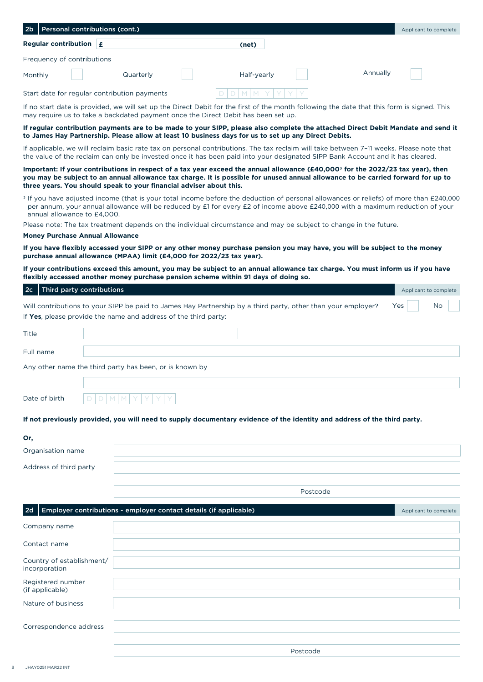| Personal contributions (cont.)                                                                                                                                                                                                                                                                                                                         |           |             |          |          | Applicant to complete |
|--------------------------------------------------------------------------------------------------------------------------------------------------------------------------------------------------------------------------------------------------------------------------------------------------------------------------------------------------------|-----------|-------------|----------|----------|-----------------------|
| Regular contribution $\mathbf{f}$                                                                                                                                                                                                                                                                                                                      |           | (net)       |          |          |                       |
| Frequency of contributions                                                                                                                                                                                                                                                                                                                             |           |             |          |          |                       |
| Monthly                                                                                                                                                                                                                                                                                                                                                | Quarterly | Half-yearly |          | Annually |                       |
| Start date for regular contribution payments                                                                                                                                                                                                                                                                                                           |           |             |          |          |                       |
| If no start date is provided, we will set up the Direct Debit for the first of the month following the date that this form is signed. This<br>may require us to take a backdated payment once the Direct Debit has been set up.                                                                                                                        |           |             |          |          |                       |
| If regular contribution payments are to be made to your SIPP, please also complete the attached Direct Debit Mandate and send it<br>to James Hay Partnership. Please allow at least 10 business days for us to set up any Direct Debits.                                                                                                               |           |             |          |          |                       |
| If applicable, we will reclaim basic rate tax on personal contributions. The tax reclaim will take between 7-11 weeks. Please note that<br>the value of the reclaim can only be invested once it has been paid into your designated SIPP Bank Account and it has cleared.                                                                              |           |             |          |          |                       |
| Important: If your contributions in respect of a tax year exceed the annual allowance (£40,000 <sup>3</sup> for the 2022/23 tax year), then<br>you may be subject to an annual allowance tax charge. It is possible for unused annual allowance to be carried forward for up to<br>three years. You should speak to your financial adviser about this. |           |             |          |          |                       |
| <sup>3</sup> If you have adjusted income (that is your total income before the deduction of personal allowances or reliefs) of more than £240,000<br>per annum, your annual allowance will be reduced by £1 for every £2 of income above £240,000 with a maximum reduction of your<br>annual allowance to £4,000.                                      |           |             |          |          |                       |
| Please note: The tax treatment depends on the individual circumstance and may be subject to change in the future.                                                                                                                                                                                                                                      |           |             |          |          |                       |
| <b>Money Purchase Annual Allowance</b><br>If you have flexibly accessed your SIPP or any other money purchase pension you may have, you will be subject to the money                                                                                                                                                                                   |           |             |          |          |                       |
| purchase annual allowance (MPAA) limit (£4,000 for 2022/23 tax year).                                                                                                                                                                                                                                                                                  |           |             |          |          |                       |
| If your contributions exceed this amount, you may be subject to an annual allowance tax charge. You must inform us if you have<br>flexibly accessed another money purchase pension scheme within 91 days of doing so.                                                                                                                                  |           |             |          |          |                       |
| <b>Third party contributions</b><br>2 <sub>c</sub>                                                                                                                                                                                                                                                                                                     |           |             |          |          | Applicant to complete |
| Will contributions to your SIPP be paid to James Hay Partnership by a third party, other than your employer?<br>If Yes, please provide the name and address of the third party:                                                                                                                                                                        |           |             |          |          | Yes<br>No             |
| Title                                                                                                                                                                                                                                                                                                                                                  |           |             |          |          |                       |
| Full name                                                                                                                                                                                                                                                                                                                                              |           |             |          |          |                       |
| Any other name the third party has been, or is known by                                                                                                                                                                                                                                                                                                |           |             |          |          |                       |
|                                                                                                                                                                                                                                                                                                                                                        |           |             |          |          |                       |
| Date of birth                                                                                                                                                                                                                                                                                                                                          |           |             |          |          |                       |
| If not previously provided, you will need to supply documentary evidence of the identity and address of the third party.                                                                                                                                                                                                                               |           |             |          |          |                       |
| Or,                                                                                                                                                                                                                                                                                                                                                    |           |             |          |          |                       |
| Organisation name                                                                                                                                                                                                                                                                                                                                      |           |             |          |          |                       |
| Address of third party                                                                                                                                                                                                                                                                                                                                 |           |             |          |          |                       |
|                                                                                                                                                                                                                                                                                                                                                        |           |             | Postcode |          |                       |
| Employer contributions - employer contact details (if applicable)<br>2d                                                                                                                                                                                                                                                                                |           |             |          |          | Applicant to complete |
| Company name                                                                                                                                                                                                                                                                                                                                           |           |             |          |          |                       |
| Contact name                                                                                                                                                                                                                                                                                                                                           |           |             |          |          |                       |
| Country of establishment/<br>incorporation                                                                                                                                                                                                                                                                                                             |           |             |          |          |                       |
| Registered number<br>(if applicable)                                                                                                                                                                                                                                                                                                                   |           |             |          |          |                       |
| Nature of business                                                                                                                                                                                                                                                                                                                                     |           |             |          |          |                       |
| Correspondence address                                                                                                                                                                                                                                                                                                                                 |           |             |          |          |                       |
|                                                                                                                                                                                                                                                                                                                                                        |           |             | Postcode |          |                       |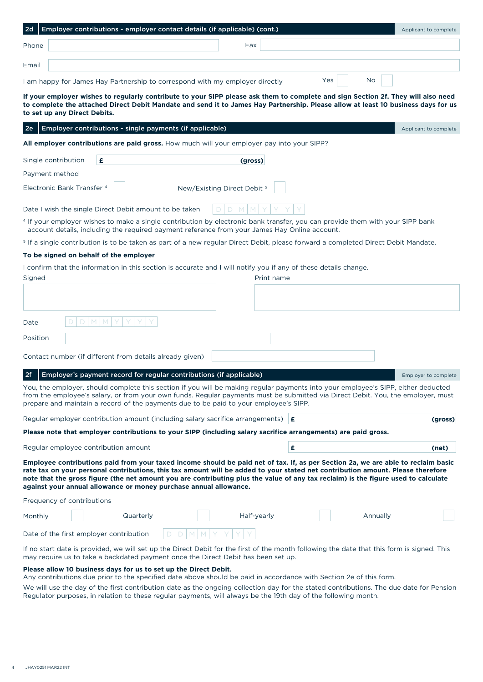| Employer contributions - employer contact details (if applicable) (cont.)<br>2d                                                                                                                                                                                                                                                                                                                                                                                                 |           | Applicant to complete |
|---------------------------------------------------------------------------------------------------------------------------------------------------------------------------------------------------------------------------------------------------------------------------------------------------------------------------------------------------------------------------------------------------------------------------------------------------------------------------------|-----------|-----------------------|
| Fax<br>Phone                                                                                                                                                                                                                                                                                                                                                                                                                                                                    |           |                       |
| Email                                                                                                                                                                                                                                                                                                                                                                                                                                                                           |           |                       |
| I am happy for James Hay Partnership to correspond with my employer directly                                                                                                                                                                                                                                                                                                                                                                                                    | No<br>Yes |                       |
| If your employer wishes to regularly contribute to your SIPP please ask them to complete and sign Section 2f. They will also need<br>to complete the attached Direct Debit Mandate and send it to James Hay Partnership. Please allow at least 10 business days for us<br>to set up any Direct Debits.                                                                                                                                                                          |           |                       |
| 2e <br>Employer contributions - single payments (if applicable)                                                                                                                                                                                                                                                                                                                                                                                                                 |           | Applicant to complete |
| <b>All employer contributions are paid gross.</b> How much will your employer pay into your SIPP?                                                                                                                                                                                                                                                                                                                                                                               |           |                       |
| Single contribution<br>£<br>(gross)                                                                                                                                                                                                                                                                                                                                                                                                                                             |           |                       |
| Payment method                                                                                                                                                                                                                                                                                                                                                                                                                                                                  |           |                       |
| Electronic Bank Transfer <sup>4</sup><br>New/Existing Direct Debit <sup>5</sup>                                                                                                                                                                                                                                                                                                                                                                                                 |           |                       |
| Date I wish the single Direct Debit amount to be taken                                                                                                                                                                                                                                                                                                                                                                                                                          |           |                       |
| <sup>4</sup> If your employer wishes to make a single contribution by electronic bank transfer, you can provide them with your SIPP bank<br>account details, including the required payment reference from your James Hay Online account.                                                                                                                                                                                                                                       |           |                       |
| <sup>5</sup> If a single contribution is to be taken as part of a new regular Direct Debit, please forward a completed Direct Debit Mandate.                                                                                                                                                                                                                                                                                                                                    |           |                       |
| To be signed on behalf of the employer                                                                                                                                                                                                                                                                                                                                                                                                                                          |           |                       |
| I confirm that the information in this section is accurate and I will notify you if any of these details change.<br>Signed<br>Print name                                                                                                                                                                                                                                                                                                                                        |           |                       |
|                                                                                                                                                                                                                                                                                                                                                                                                                                                                                 |           |                       |
| M<br>M<br>D<br>Date                                                                                                                                                                                                                                                                                                                                                                                                                                                             |           |                       |
| Position                                                                                                                                                                                                                                                                                                                                                                                                                                                                        |           |                       |
|                                                                                                                                                                                                                                                                                                                                                                                                                                                                                 |           |                       |
| Contact number (if different from details already given)                                                                                                                                                                                                                                                                                                                                                                                                                        |           |                       |
| 2f <br>Employer's payment record for regular contributions (if applicable)                                                                                                                                                                                                                                                                                                                                                                                                      |           | Employer to complete  |
| You, the employer, should complete this section if you will be making regular payments into your employee's SIPP, either deducted<br>from the employee's salary, or from your own funds. Regular payments must be submitted via Direct Debit. You, the employer, must<br>prepare and maintain a record of the payments due to be paid to your employee's SIPP.                                                                                                                  |           |                       |
| Regular employer contribution amount (including salary sacrifice arrangements) $\mathbf{f}$                                                                                                                                                                                                                                                                                                                                                                                     |           | (gross)               |
| Please note that employer contributions to your SIPP (including salary sacrifice arrangements) are paid gross.                                                                                                                                                                                                                                                                                                                                                                  |           |                       |
| Regular employee contribution amount                                                                                                                                                                                                                                                                                                                                                                                                                                            | £         | (net)                 |
| Employee contributions paid from your taxed income should be paid net of tax. If, as per Section 2a, we are able to reclaim basic<br>rate tax on your personal contributions, this tax amount will be added to your stated net contribution amount. Please therefore<br>note that the gross figure (the net amount you are contributing plus the value of any tax reclaim) is the figure used to calculate<br>against your annual allowance or money purchase annual allowance. |           |                       |
| Frequency of contributions                                                                                                                                                                                                                                                                                                                                                                                                                                                      |           |                       |
| Quarterly<br>Half-yearly<br>Monthly                                                                                                                                                                                                                                                                                                                                                                                                                                             | Annually  |                       |
| Date of the first employer contribution                                                                                                                                                                                                                                                                                                                                                                                                                                         |           |                       |
| If no start date is provided, we will set up the Direct Debit for the first of the month following the date that this form is signed. This<br>may require us to take a backdated payment once the Direct Debit has been set up.                                                                                                                                                                                                                                                 |           |                       |

### **Please allow 10 business days for us to set up the Direct Debit.**

Any contributions due prior to the specified date above should be paid in accordance with Section 2e of this form.

We will use the day of the first contribution date as the ongoing collection day for the stated contributions. The due date for Pension Regulator purposes, in relation to these regular payments, will always be the 19th day of the following month.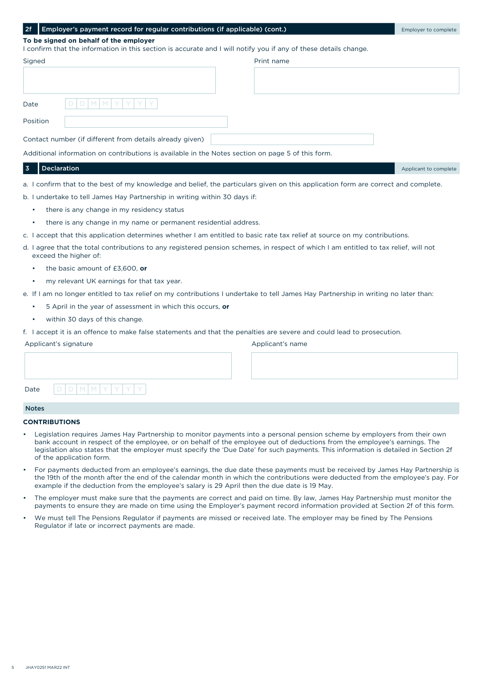#### **Employer's payment record for regular contributions (if applicable) (cont.)** Employer to complete

### **To be signed on behalf of the employer**

I confirm that the information in this section is accurate and I will notify you if any of these details change.

| Signed   |                                                                                                   | Print name |  |
|----------|---------------------------------------------------------------------------------------------------|------------|--|
|          |                                                                                                   |            |  |
|          |                                                                                                   |            |  |
| Date     | $D[D M M Y Y Y Y $                                                                                |            |  |
| Position |                                                                                                   |            |  |
|          | Contact number (if different from details already given)                                          |            |  |
|          | Additional information on contributions is available in the Notes section on page 5 of this form. |            |  |

### **Declaration** Applicant to complete the complete of the complete of the complete of the complete of the complete of the complete of the complete of the complete of the complete of the complete of the complete of the comple

a. I confirm that to the best of my knowledge and belief, the particulars given on this application form are correct and complete.

b. I undertake to tell James Hay Partnership in writing within 30 days if:

- there is any change in my residency status
- there is any change in my name or permanent residential address.
- c. I accept that this application determines whether I am entitled to basic rate tax relief at source on my contributions.
- d. I agree that the total contributions to any registered pension schemes, in respect of which I am entitled to tax relief, will not exceed the higher of:
	- the basic amount of £3,600, **or**
	- my relevant UK earnings for that tax year.
- e. If I am no longer entitled to tax relief on my contributions I undertake to tell James Hay Partnership in writing no later than:
	- 5 April in the year of assessment in which this occurs, **or**
	- within 30 days of this change.
- f. I accept it is an offence to make false statements and that the penalties are severe and could lead to prosecution.

Applicant's signature

Applicant's name

D at e

#### Notes

#### **CONTRIBUTIONS**

- Legislation requires James Hay Partnership to monitor payments into a personal pension scheme by employers from their own bank account in respect of the employee, or on behalf of the employee out of deductions from the employee's earnings. The legislation also states that the employer must specify the 'Due Date' for such payments. This information is detailed in Section 2f of the application form.
- For payments deducted from an employee's earnings, the due date these payments must be received by James Hay Partnership is the 19th of the month after the end of the calendar month in which the contributions were deducted from the employee's pay. For example if the deduction from the employee's salary is 29 April then the due date is 19 May.
- The employer must make sure that the payments are correct and paid on time. By law, James Hay Partnership must monitor the payments to ensure they are made on time using the Employer's payment record information provided at Section 2f of this form.
- We must tell The Pensions Regulator if payments are missed or received late. The employer may be fined by The Pensions Regulator if late or incorrect payments are made.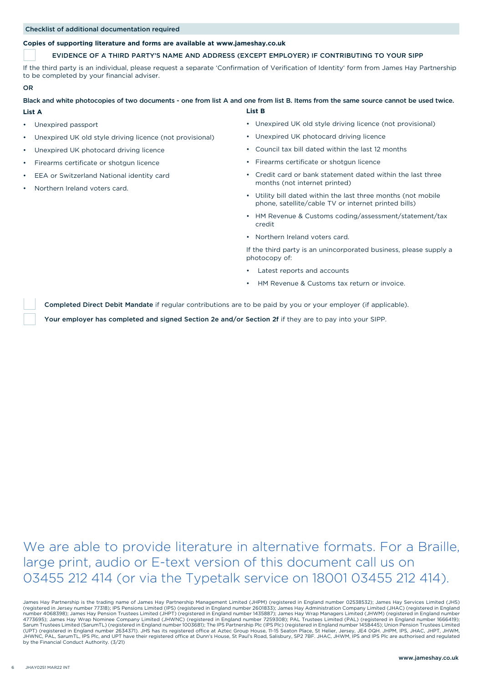#### Checklist of additional documentation required

#### **Copies of supporting literature and forms are available at www.jameshay.co.uk**

#### EVIDENCE OF A THIRD PARTY'S NAME AND ADDRESS (EXCEPT EMPLOYER) IF CONTRIBUTING TO YOUR SIPP

If the third party is an individual, please request a separate 'Confirmation of Verification of Identity' form from James Hay Partnership to be completed by your financial adviser.

#### OR

#### **List B** Black and white photocopies of two documents - one from list A and one from list B. Items from the same source cannot be used twice.

- **List A**
- Unexpired passport
- Unexpired UK old style driving licence (not provisional)
- Unexpired UK photocard driving licence
- Firearms certificate or shotgun licence
- EEA or Switzerland National identity card
- Northern Ireland voters card.
- Unexpired UK old style driving licence (not provisional)
- Unexpired UK photocard driving licence
- Council tax bill dated within the last 12 months
- Firearms certificate or shotgun licence
- Credit card or bank statement dated within the last three months (not internet printed)
- Utility bill dated within the last three months (not mobile phone, satellite/cable TV or internet printed bills)
- HM Revenue & Customs coding/assessment/statement/tax credit
- Northern Ireland voters card.

If the third party is an unincorporated business, please supply a photocopy of:

- Latest reports and accounts
- HM Revenue & Customs tax return or invoice.

Completed Direct Debit Mandate if regular contributions are to be paid by you or your employer (if applicable).

Your employer has completed and signed Section 2e and/or Section 2f if they are to pay into your SIPP.

We are able to provide literature in alternative formats. For a Braille, large print, audio or E-text version of this document call us on 03455 212 414 (or via the Typetalk service on 18001 03455 212 414).

James Hay Partnership is the trading name of James Hay Partnership Management Limited (JHPM) (registered in England number 02538532); James Hay Services Limited (JHS)<br>(registered in Jersey number 77318); IPS Pensions Limit 4773695); James Hay Wrap Nominee Company Limited (JHWNC) (registered in England number 7259308); PAL Trustees Limited (PAL) (registered in England number 1666419);<br>Sarum Trustees Limited (SarumTL) (registered in England nu JHWNC, PAL, SarumTL, IPS Plc, and UPT have their registered office at Dunn's House, St Paul's Road, Salisbury, SP2 7BF. JHAC, JHWM, IPS and IPS Plc are authorised and regulated by the Financial Conduct Authority. (3/21)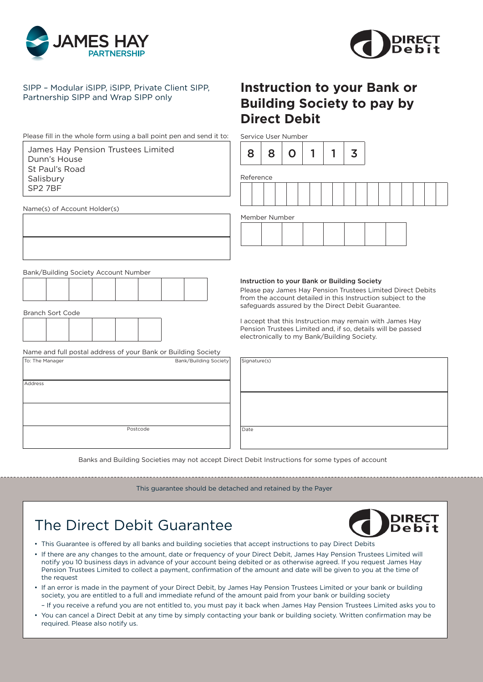



### SIPP – Modular iSIPP, iSIPP, Private Client SIPP, Partnership SIPP and Wrap SIPP only

Please fill in the whole form using a ball point pen and send it to:

James Hay Pension Trustees Limited Dunn's House St Paul's Road Salisbury SP2 7BF

Name(s) of Account Holder(s)

## **Instruction to your Bank or Building Society to pay by Direct Debit**

Service User Number



Reference

Member Number

Bank/Building Society Account Number

Branch Sort Code

| Dianon Jort Couc |  |  |  |
|------------------|--|--|--|
|                  |  |  |  |
|                  |  |  |  |
|                  |  |  |  |
|                  |  |  |  |
|                  |  |  |  |
|                  |  |  |  |

Name and full postal address of your Bank or Building Society

| To: The Manager |          | Bank/Building Society |
|-----------------|----------|-----------------------|
|                 |          |                       |
| Address         |          |                       |
|                 |          |                       |
|                 |          |                       |
|                 |          |                       |
|                 | Postcode |                       |
|                 |          |                       |

#### Instruction to your Bank or Building Society

Please pay James Hay Pension Trustees Limited Direct Debits from the account detailed in this Instruction subject to the safeguards assured by the Direct Debit Guarantee.

I accept that this Instruction may remain with James Hay Pension Trustees Limited and, if so, details will be passed electronically to my Bank/Building Society.

| Signature(s) |  |  |  |
|--------------|--|--|--|
|              |  |  |  |
|              |  |  |  |
|              |  |  |  |
| Date         |  |  |  |

Banks and Building Societies may not accept Direct Debit Instructions for some types of account

This guarantee should be detached and retained by the Payer

# The Direct Debit Guarantee



- This Guarantee is offered by all banks and building societies that accept instructions to pay Direct Debits
- If there are any changes to the amount, date or frequency of your Direct Debit, James Hay Pension Trustees Limited will notify you 10 business days in advance of your account being debited or as otherwise agreed. If you request James Hay Pension Trustees Limited to collect a payment, confirmation of the amount and date will be given to you at the time of the request
- If an error is made in the payment of your Direct Debit, by James Hay Pension Trustees Limited or your bank or building society, you are entitled to a full and immediate refund of the amount paid from your bank or building society
- If you receive a refund you are not entitled to, you must pay it back when James Hay Pension Trustees Limited asks you to • You can cancel a Direct Debit at any time by simply contacting your bank or building society. Written confirmation may be required. Please also notify us.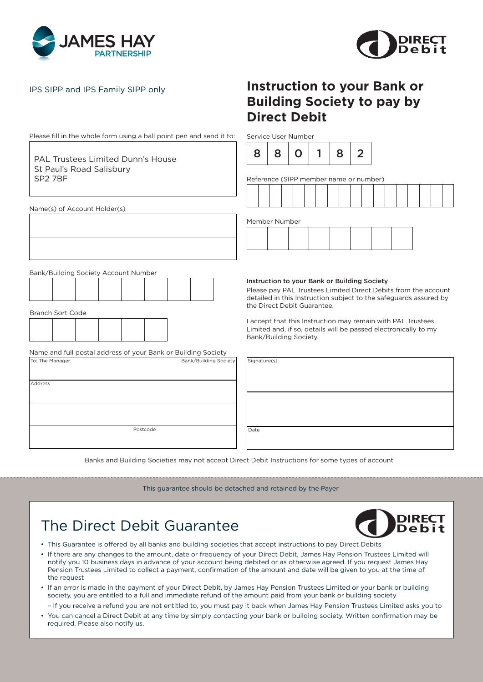



Please fill in the whole form using a ball point pen and send it to:

PAL Trustees Limited Dunn's House St Paul's Road Salisbury SP2 7BF

Name(s) of Account Holder(s)

## IPS SIPP and IPS Family SIPP only **Instruction to your Bank or Building Society to pay by Direct Debit**

Service User Number



Reference (SIPP member name or number)

Member Number

Bank/Building Society Account Number

|  | the contract of the contract of the contract of | the contract of the contract of the contract of the contract of the contract of |  |  |  |
|--|-------------------------------------------------|---------------------------------------------------------------------------------|--|--|--|
|  |                                                 |                                                                                 |  |  |  |
|  |                                                 |                                                                                 |  |  |  |
|  |                                                 |                                                                                 |  |  |  |
|  |                                                 |                                                                                 |  |  |  |
|  |                                                 |                                                                                 |  |  |  |
|  |                                                 |                                                                                 |  |  |  |
|  |                                                 |                                                                                 |  |  |  |
|  |                                                 |                                                                                 |  |  |  |
|  |                                                 |                                                                                 |  |  |  |
|  |                                                 |                                                                                 |  |  |  |
|  |                                                 |                                                                                 |  |  |  |
|  |                                                 |                                                                                 |  |  |  |
|  |                                                 |                                                                                 |  |  |  |
|  |                                                 |                                                                                 |  |  |  |
|  |                                                 |                                                                                 |  |  |  |
|  |                                                 |                                                                                 |  |  |  |
|  |                                                 |                                                                                 |  |  |  |
|  |                                                 |                                                                                 |  |  |  |
|  |                                                 |                                                                                 |  |  |  |
|  |                                                 |                                                                                 |  |  |  |
|  |                                                 |                                                                                 |  |  |  |
|  |                                                 |                                                                                 |  |  |  |
|  |                                                 |                                                                                 |  |  |  |
|  |                                                 |                                                                                 |  |  |  |
|  |                                                 |                                                                                 |  |  |  |
|  |                                                 |                                                                                 |  |  |  |
|  |                                                 |                                                                                 |  |  |  |
|  |                                                 |                                                                                 |  |  |  |
|  |                                                 |                                                                                 |  |  |  |
|  |                                                 |                                                                                 |  |  |  |
|  |                                                 |                                                                                 |  |  |  |
|  |                                                 |                                                                                 |  |  |  |
|  |                                                 |                                                                                 |  |  |  |
|  |                                                 |                                                                                 |  |  |  |
|  |                                                 |                                                                                 |  |  |  |
|  |                                                 |                                                                                 |  |  |  |
|  |                                                 |                                                                                 |  |  |  |
|  |                                                 |                                                                                 |  |  |  |
|  |                                                 |                                                                                 |  |  |  |
|  |                                                 |                                                                                 |  |  |  |
|  |                                                 |                                                                                 |  |  |  |
|  |                                                 |                                                                                 |  |  |  |
|  |                                                 |                                                                                 |  |  |  |
|  |                                                 |                                                                                 |  |  |  |
|  |                                                 |                                                                                 |  |  |  |
|  |                                                 |                                                                                 |  |  |  |

Branch Sort Code

| _________________ |  |  |  |  |  |  |  |  |
|-------------------|--|--|--|--|--|--|--|--|
|                   |  |  |  |  |  |  |  |  |
|                   |  |  |  |  |  |  |  |  |
|                   |  |  |  |  |  |  |  |  |
|                   |  |  |  |  |  |  |  |  |
|                   |  |  |  |  |  |  |  |  |
|                   |  |  |  |  |  |  |  |  |
|                   |  |  |  |  |  |  |  |  |

Name and full postal address of your Bank or Building Society

| To: The Manager |          | Bank/Building Society |
|-----------------|----------|-----------------------|
| Address         |          |                       |
|                 |          |                       |
|                 |          |                       |
|                 |          |                       |
|                 | Postcode |                       |
|                 |          |                       |

#### Instruction to your Bank or Building Society

Please pay PAL Trustees Limited Direct Debits from the account detailed in this Instruction subject to the safeguards assured by the Direct Debit Guarantee.

I accept that this Instruction may remain with PAL Trustees Limited and, if so, details will be passed electronically to my Bank/Building Society.

| Signature(s) |  |  |  |
|--------------|--|--|--|
|              |  |  |  |
|              |  |  |  |
|              |  |  |  |
|              |  |  |  |
|              |  |  |  |
|              |  |  |  |
| Date         |  |  |  |
|              |  |  |  |

Banks and Building Societies may not accept Direct Debit Instructions for some types of account

This guarantee should be detached and retained by the Payer

# The Direct Debit Guarantee



- This Guarantee is offered by all banks and building societies that accept instructions to pay Direct Debits
- If there are any changes to the amount, date or frequency of your Direct Debit, James Hay Pension Trustees Limited will notify you 10 business days in advance of your account being debited or as otherwise agreed. If you request James Hay Pension Trustees Limited to collect a payment, confirmation of the amount and date will be given to you at the time of the request
- If an error is made in the payment of your Direct Debit, by James Hay Pension Trustees Limited or your bank or building society, you are entitled to a full and immediate refund of the amount paid from your bank or building society
	- If you receive a refund you are not entitled to, you must pay it back when James Hay Pension Trustees Limited asks you to
- You can cancel a Direct Debit at any time by simply contacting your bank or building society. Written confirmation may be required. Please also notify us.